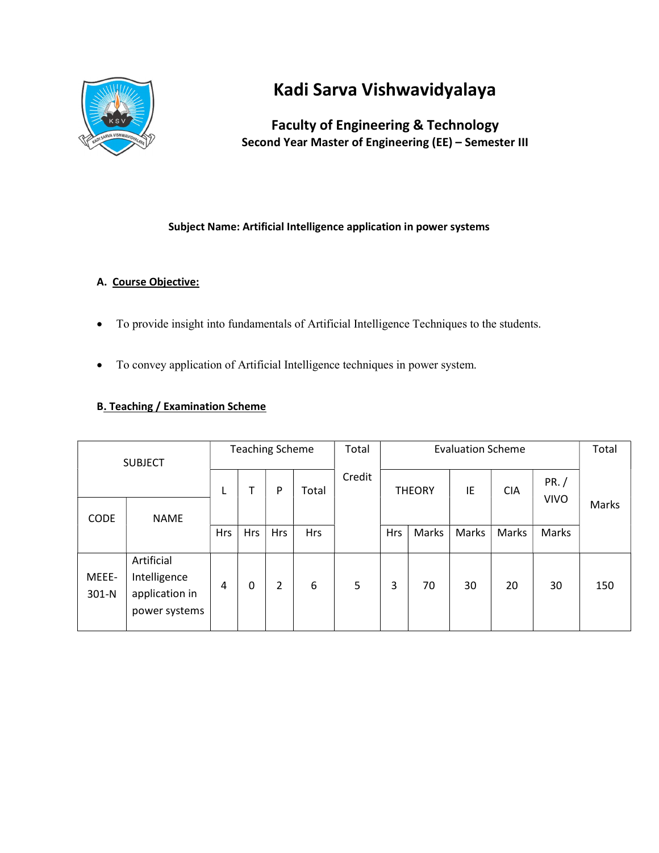

# Kadi Sarva Vishwavidyalaya

## Faculty of Engineering & Technology Second Year Master of Engineering (EE) – Semester III

## Subject Name: Artificial Intelligence application in power systems

## A. Course Objective:

- To provide insight into fundamentals of Artificial Intelligence Techniques to the students.
- To convey application of Artificial Intelligence techniques in power system.

### B. Teaching / Examination Scheme

| <b>SUBJECT</b>             |                                                               | <b>Teaching Scheme</b> |            |            |            | Total  | <b>Evaluation Scheme</b> |       |       |            |                      | Total |
|----------------------------|---------------------------------------------------------------|------------------------|------------|------------|------------|--------|--------------------------|-------|-------|------------|----------------------|-------|
|                            |                                                               | L                      |            | P          | Total      | Credit | IE<br><b>THEORY</b>      |       |       | <b>CIA</b> | PR. /<br><b>VIVO</b> |       |
| <b>CODE</b><br><b>NAME</b> |                                                               |                        |            |            |            |        |                          |       |       |            | Marks                |       |
|                            |                                                               | Hrs                    | <b>Hrs</b> | <b>Hrs</b> | <b>Hrs</b> |        | <b>Hrs</b>               | Marks | Marks | Marks      | Marks                |       |
| MEEE-<br>$301-N$           | Artificial<br>Intelligence<br>application in<br>power systems | 4                      | 0          | 2          | 6          | 5      | 3                        | 70    | 30    | 20         | 30                   | 150   |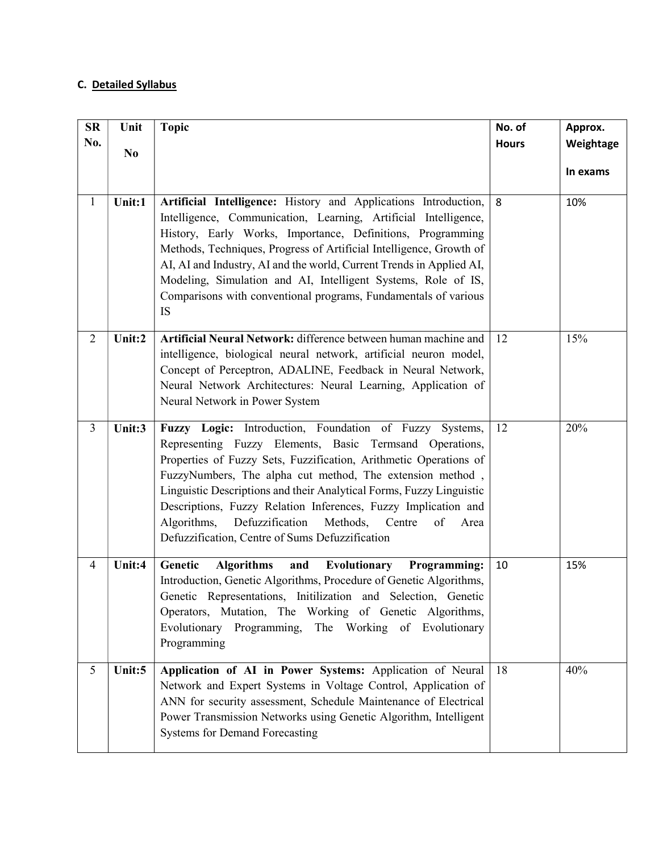## C. Detailed Syllabus

| SR             | Unit           | <b>Topic</b>                                                                                                                                                                                                                                                                                                                                                                                                                                                                                                      | No. of       | Approx.   |
|----------------|----------------|-------------------------------------------------------------------------------------------------------------------------------------------------------------------------------------------------------------------------------------------------------------------------------------------------------------------------------------------------------------------------------------------------------------------------------------------------------------------------------------------------------------------|--------------|-----------|
| No.            | N <sub>0</sub> |                                                                                                                                                                                                                                                                                                                                                                                                                                                                                                                   | <b>Hours</b> | Weightage |
|                |                |                                                                                                                                                                                                                                                                                                                                                                                                                                                                                                                   |              | In exams  |
|                |                |                                                                                                                                                                                                                                                                                                                                                                                                                                                                                                                   |              |           |
| $\mathbf{1}$   | Unit:1         | Artificial Intelligence: History and Applications Introduction,<br>Intelligence, Communication, Learning, Artificial Intelligence,<br>History, Early Works, Importance, Definitions, Programming<br>Methods, Techniques, Progress of Artificial Intelligence, Growth of<br>AI, AI and Industry, AI and the world, Current Trends in Applied AI,<br>Modeling, Simulation and AI, Intelligent Systems, Role of IS,<br>Comparisons with conventional programs, Fundamentals of various<br>IS                         | 8            | 10%       |
| $\overline{2}$ | Unit:2         | Artificial Neural Network: difference between human machine and<br>intelligence, biological neural network, artificial neuron model,<br>Concept of Perceptron, ADALINE, Feedback in Neural Network,<br>Neural Network Architectures: Neural Learning, Application of<br>Neural Network in Power System                                                                                                                                                                                                            | 12           | 15%       |
| $\overline{3}$ | Unit:3         | Fuzzy Logic: Introduction, Foundation of Fuzzy Systems,<br>Representing Fuzzy Elements, Basic Termsand Operations,<br>Properties of Fuzzy Sets, Fuzzification, Arithmetic Operations of<br>FuzzyNumbers, The alpha cut method, The extension method,<br>Linguistic Descriptions and their Analytical Forms, Fuzzy Linguistic<br>Descriptions, Fuzzy Relation Inferences, Fuzzy Implication and<br>Algorithms, Defuzzification<br>Methods, Centre<br>of<br>Area<br>Defuzzification, Centre of Sums Defuzzification | 12           | 20%       |
| $\overline{4}$ | Unit:4         | <b>Algorithms</b><br><b>Evolutionary</b> Programming:<br>Genetic<br>and<br>Introduction, Genetic Algorithms, Procedure of Genetic Algorithms,<br>Genetic Representations, Initilization and Selection, Genetic<br>Operators, Mutation, The Working of Genetic Algorithms,<br>Evolutionary Programming, The Working of Evolutionary<br>Programming                                                                                                                                                                 | 10           | 15%       |
| 5              | Unit:5         | Application of AI in Power Systems: Application of Neural<br>Network and Expert Systems in Voltage Control, Application of<br>ANN for security assessment, Schedule Maintenance of Electrical<br>Power Transmission Networks using Genetic Algorithm, Intelligent<br><b>Systems for Demand Forecasting</b>                                                                                                                                                                                                        | 18           | 40%       |